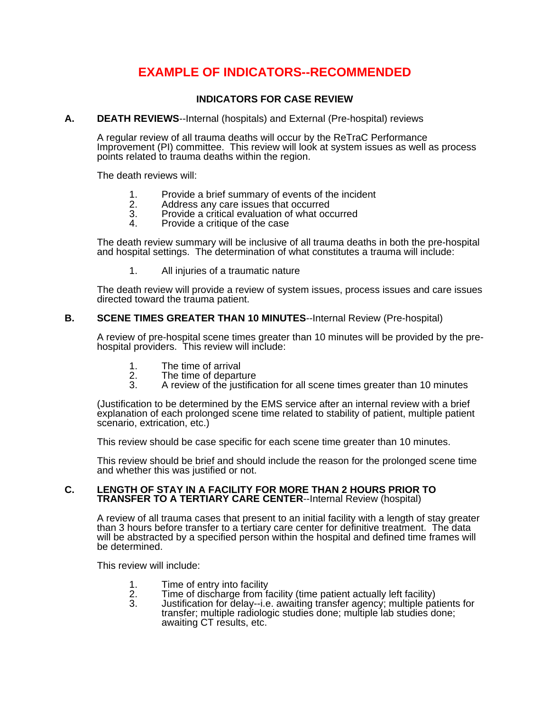# **EXAMPLE OF INDICATORS--RECOMMENDED**

# **INDICATORS FOR CASE REVIEW**

# **A. DEATH REVIEWS**--Internal (hospitals) and External (Pre-hospital) reviews

A regular review of all trauma deaths will occur by the ReTraC Performance Improvement (PI) committee. This review will look at system issues as well as process points related to trauma deaths within the region.

The death reviews will:

- 1. Provide a brief summary of events of the incident<br>2. Address any care issues that occurred
- 2. Address any care issues that occurred<br>3. Provide a critical evaluation of what occ
- 3. Provide a critical evaluation of what occurred<br>4. Provide a critique of the case
- Provide a critique of the case

The death review summary will be inclusive of all trauma deaths in both the pre-hospital and hospital settings. The determination of what constitutes a trauma will include:

1. All injuries of a traumatic nature

The death review will provide a review of system issues, process issues and care issues directed toward the trauma patient.

## **B.** SCENE TIMES GREATER THAN 10 MINUTES--Internal Review (Pre-hospital)

A review of pre-hospital scene times greater than 10 minutes will be provided by the prehospital providers. This review will include:

- 1. The time of arrival<br>2. The time of depart
- 2. The time of departure<br>3. A review of the justificantle
- A review of the justification for all scene times greater than 10 minutes

(Justification to be determined by the EMS service after an internal review with a brief explanation of each prolonged scene time related to stability of patient, multiple patient scenario, extrication, etc.)

This review should be case specific for each scene time greater than 10 minutes.

This review should be brief and should include the reason for the prolonged scene time and whether this was justified or not.

### **C. LENGTH OF STAY IN A FACILITY FOR MORE THAN 2 HOURS PRIOR TO TRANSFER TO A TERTIARY CARE CENTER**--Internal Review (hospital)

A review of all trauma cases that present to an initial facility with a length of stay greater than 3 hours before transfer to a tertiary care center for definitive treatment. The data will be abstracted by a specified person within the hospital and defined time frames will be determined.

This review will include:

- 1. Time of entry into facility<br>2. Time of discharge from fa
- 2. Time of discharge from facility (time patient actually left facility)<br>3. Justification for delay--i.e. awaiting transfer agency; multiple pat
- Justification for delay--i.e. awaiting transfer agency; multiple patients for transfer; multiple radiologic studies done; multiple lab studies done; awaiting CT results, etc.